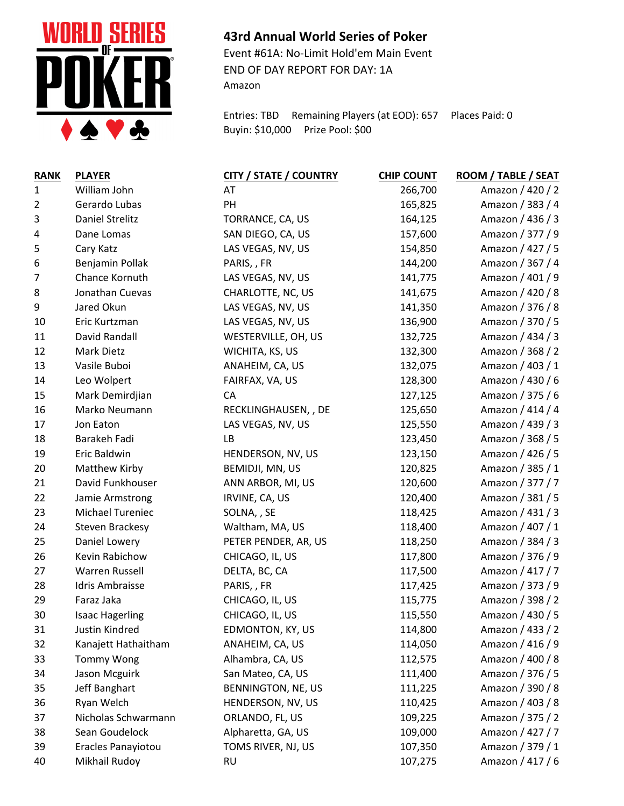

## **43rd Annual World Series of Poker**

Event #61A: No-Limit Hold'em Main Event END OF DAY REPORT FOR DAY: 1A Amazon

Entries: TBD Remaining Players (at EOD): 657 Places Paid: 0 Buyin: \$10,000 Prize Pool: \$00

| <b>RANK</b>    | <b>PLAYER</b>          | <b>CITY / STATE / COUNTRY</b> | <b>CHIP COUNT</b> | <b>ROOM / TABLE / SEAT</b> |
|----------------|------------------------|-------------------------------|-------------------|----------------------------|
| $\mathbf 1$    | William John           | AT                            | 266,700           | Amazon / 420 / 2           |
| $\overline{2}$ | Gerardo Lubas          | PH                            | 165,825           | Amazon / 383 / 4           |
| 3              | Daniel Strelitz        | TORRANCE, CA, US              | 164,125           | Amazon / 436 / 3           |
| 4              | Dane Lomas             | SAN DIEGO, CA, US             | 157,600           | Amazon / 377 / 9           |
| 5              | Cary Katz              | LAS VEGAS, NV, US             | 154,850           | Amazon / 427 / 5           |
| 6              | Benjamin Pollak        | PARIS, FR                     | 144,200           | Amazon / 367 / 4           |
| 7              | Chance Kornuth         | LAS VEGAS, NV, US             | 141,775           | Amazon / 401 / 9           |
| 8              | Jonathan Cuevas        | CHARLOTTE, NC, US             | 141,675           | Amazon / 420 / 8           |
| 9              | Jared Okun             | LAS VEGAS, NV, US             | 141,350           | Amazon / 376 / 8           |
| 10             | Eric Kurtzman          | LAS VEGAS, NV, US             | 136,900           | Amazon / 370 / 5           |
| 11             | David Randall          | WESTERVILLE, OH, US           | 132,725           | Amazon / 434 / 3           |
| 12             | Mark Dietz             | WICHITA, KS, US               | 132,300           | Amazon / 368 / 2           |
| 13             | Vasile Buboi           | ANAHEIM, CA, US               | 132,075           | Amazon / 403 / 1           |
| 14             | Leo Wolpert            | FAIRFAX, VA, US               | 128,300           | Amazon / 430 / 6           |
| 15             | Mark Demirdjian        | CA                            | 127,125           | Amazon / 375 / 6           |
| 16             | Marko Neumann          | RECKLINGHAUSEN, , DE          | 125,650           | Amazon / 414 / 4           |
| 17             | Jon Eaton              | LAS VEGAS, NV, US             | 125,550           | Amazon / 439 / 3           |
| 18             | Barakeh Fadi           | LB                            | 123,450           | Amazon / 368 / 5           |
| 19             | Eric Baldwin           | HENDERSON, NV, US             | 123,150           | Amazon / 426 / 5           |
| 20             | Matthew Kirby          | BEMIDJI, MN, US               | 120,825           | Amazon / 385 / 1           |
| 21             | David Funkhouser       | ANN ARBOR, MI, US             | 120,600           | Amazon / 377 / 7           |
| 22             | Jamie Armstrong        | IRVINE, CA, US                | 120,400           | Amazon / 381 / 5           |
| 23             | Michael Tureniec       | SOLNA, , SE                   | 118,425           | Amazon / 431 / 3           |
| 24             | Steven Brackesy        | Waltham, MA, US               | 118,400           | Amazon / 407 / 1           |
| 25             | Daniel Lowery          | PETER PENDER, AR, US          | 118,250           | Amazon / 384 / 3           |
| 26             | Kevin Rabichow         | CHICAGO, IL, US               | 117,800           | Amazon / 376 / 9           |
| 27             | Warren Russell         | DELTA, BC, CA                 | 117,500           | Amazon / 417 / 7           |
| 28             | <b>Idris Ambraisse</b> | PARIS, FR                     | 117,425           | Amazon / 373 / 9           |
| 29             | Faraz Jaka             | CHICAGO, IL, US               | 115,775           | Amazon / 398 / 2           |
| 30             | <b>Isaac Hagerling</b> | CHICAGO, IL, US               | 115,550           | Amazon / 430 / 5           |
| 31             | Justin Kindred         | EDMONTON, KY, US              | 114,800           | Amazon / 433 / 2           |
| 32             | Kanajett Hathaitham    | ANAHEIM, CA, US               | 114,050           | Amazon / 416 / 9           |
| 33             | <b>Tommy Wong</b>      | Alhambra, CA, US              | 112,575           | Amazon / 400 / 8           |
| 34             | Jason Mcguirk          | San Mateo, CA, US             | 111,400           | Amazon / 376 / 5           |
| 35             | Jeff Banghart          | BENNINGTON, NE, US            | 111,225           | Amazon / 390 / 8           |
| 36             | Ryan Welch             | HENDERSON, NV, US             | 110,425           | Amazon / 403 / 8           |
| 37             | Nicholas Schwarmann    | ORLANDO, FL, US               | 109,225           | Amazon / 375 / 2           |
| 38             | Sean Goudelock         | Alpharetta, GA, US            | 109,000           | Amazon / 427 / 7           |
| 39             | Eracles Panayiotou     | TOMS RIVER, NJ, US            | 107,350           | Amazon / 379 / 1           |
| 40             | Mikhail Rudoy          | <b>RU</b>                     | 107,275           | Amazon / 417 / 6           |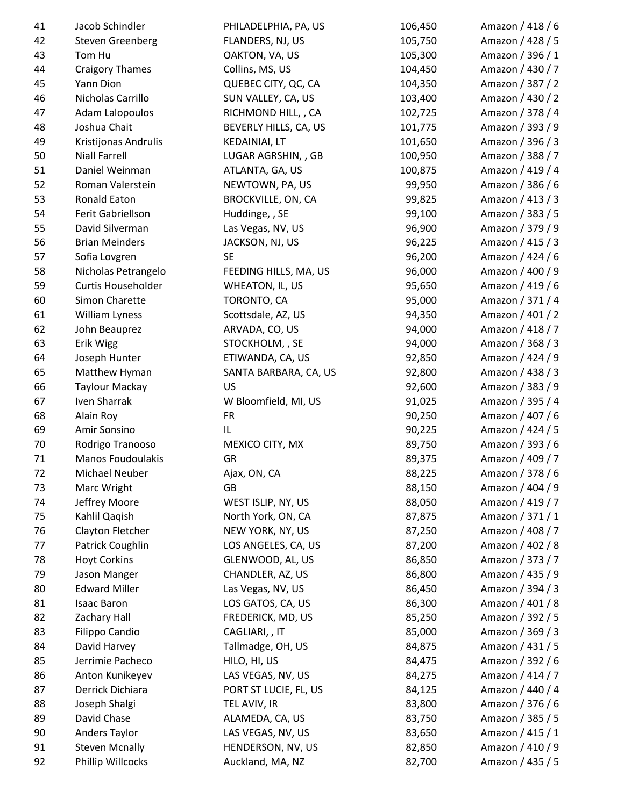| 41 | Jacob Schindler         | PHILADELPHIA, PA, US      | 106,450 | Amazon / 418 / 6 |
|----|-------------------------|---------------------------|---------|------------------|
| 42 | <b>Steven Greenberg</b> | FLANDERS, NJ, US          | 105,750 | Amazon / 428 / 5 |
| 43 | Tom Hu                  | OAKTON, VA, US            | 105,300 | Amazon / 396 / 1 |
| 44 | <b>Craigory Thames</b>  | Collins, MS, US           | 104,450 | Amazon / 430 / 7 |
| 45 | Yann Dion               | QUEBEC CITY, QC, CA       | 104,350 | Amazon / 387 / 2 |
| 46 | Nicholas Carrillo       | SUN VALLEY, CA, US        | 103,400 | Amazon / 430 / 2 |
| 47 | Adam Lalopoulos         | RICHMOND HILL, , CA       | 102,725 | Amazon / 378 / 4 |
| 48 | Joshua Chait            | BEVERLY HILLS, CA, US     | 101,775 | Amazon / 393 / 9 |
| 49 | Kristijonas Andrulis    | <b>KEDAINIAI, LT</b>      | 101,650 | Amazon / 396 / 3 |
| 50 | <b>Niall Farrell</b>    | LUGAR AGRSHIN, , GB       | 100,950 | Amazon / 388 / 7 |
| 51 | Daniel Weinman          | ATLANTA, GA, US           | 100,875 | Amazon / 419 / 4 |
| 52 | Roman Valerstein        | NEWTOWN, PA, US           | 99,950  | Amazon / 386 / 6 |
| 53 | <b>Ronald Eaton</b>     | <b>BROCKVILLE, ON, CA</b> | 99,825  | Amazon / 413 / 3 |
| 54 | Ferit Gabriellson       | Huddinge, , SE            | 99,100  | Amazon / 383 / 5 |
| 55 | David Silverman         | Las Vegas, NV, US         | 96,900  | Amazon / 379 / 9 |
| 56 | <b>Brian Meinders</b>   | JACKSON, NJ, US           | 96,225  | Amazon / 415 / 3 |
| 57 | Sofia Lovgren           | <b>SE</b>                 | 96,200  | Amazon / 424 / 6 |
| 58 | Nicholas Petrangelo     | FEEDING HILLS, MA, US     | 96,000  | Amazon / 400 / 9 |
| 59 | Curtis Householder      | WHEATON, IL, US           | 95,650  | Amazon / 419 / 6 |
| 60 | Simon Charette          | TORONTO, CA               | 95,000  | Amazon / 371 / 4 |
| 61 | William Lyness          | Scottsdale, AZ, US        | 94,350  | Amazon / 401 / 2 |
| 62 | John Beauprez           | ARVADA, CO, US            | 94,000  | Amazon / 418 / 7 |
| 63 | Erik Wigg               | STOCKHOLM, , SE           | 94,000  | Amazon / 368 / 3 |
| 64 | Joseph Hunter           | ETIWANDA, CA, US          | 92,850  | Amazon / 424 / 9 |
| 65 | Matthew Hyman           | SANTA BARBARA, CA, US     | 92,800  | Amazon / 438 / 3 |
| 66 | <b>Taylour Mackay</b>   | US                        | 92,600  | Amazon / 383 / 9 |
| 67 | Iven Sharrak            | W Bloomfield, MI, US      | 91,025  | Amazon / 395 / 4 |
| 68 | Alain Roy               | <b>FR</b>                 | 90,250  | Amazon / 407 / 6 |
| 69 | Amir Sonsino            | IL                        | 90,225  | Amazon / 424 / 5 |
| 70 | Rodrigo Tranooso        | MEXICO CITY, MX           | 89,750  | Amazon / 393 / 6 |
| 71 | Manos Foudoulakis       | GR                        | 89,375  | Amazon / 409 / 7 |
| 72 | Michael Neuber          | Ajax, ON, CA              | 88,225  | Amazon / 378 / 6 |
| 73 | Marc Wright             | GB                        | 88,150  | Amazon / 404 / 9 |
| 74 | Jeffrey Moore           | WEST ISLIP, NY, US        | 88,050  | Amazon / 419 / 7 |
| 75 | Kahlil Qaqish           | North York, ON, CA        | 87,875  | Amazon / 371 / 1 |
| 76 | Clayton Fletcher        | NEW YORK, NY, US          | 87,250  | Amazon / 408 / 7 |
| 77 | Patrick Coughlin        | LOS ANGELES, CA, US       | 87,200  | Amazon / 402 / 8 |
| 78 | <b>Hoyt Corkins</b>     | GLENWOOD, AL, US          | 86,850  | Amazon / 373 / 7 |
| 79 | Jason Manger            | CHANDLER, AZ, US          | 86,800  | Amazon / 435 / 9 |
| 80 | <b>Edward Miller</b>    | Las Vegas, NV, US         | 86,450  | Amazon / 394 / 3 |
| 81 | <b>Isaac Baron</b>      | LOS GATOS, CA, US         | 86,300  | Amazon / 401 / 8 |
| 82 | Zachary Hall            | FREDERICK, MD, US         | 85,250  | Amazon / 392 / 5 |
| 83 | Filippo Candio          | CAGLIARI, , IT            | 85,000  | Amazon / 369 / 3 |
| 84 | David Harvey            | Tallmadge, OH, US         | 84,875  | Amazon / 431 / 5 |
| 85 | Jerrimie Pacheco        | HILO, HI, US              | 84,475  | Amazon / 392 / 6 |
| 86 | Anton Kunikeyev         | LAS VEGAS, NV, US         | 84,275  | Amazon / 414 / 7 |
| 87 | Derrick Dichiara        | PORT ST LUCIE, FL, US     | 84,125  | Amazon / 440 / 4 |
| 88 | Joseph Shalgi           | TEL AVIV, IR              | 83,800  | Amazon / 376 / 6 |
| 89 | David Chase             | ALAMEDA, CA, US           | 83,750  | Amazon / 385 / 5 |
| 90 | <b>Anders Taylor</b>    | LAS VEGAS, NV, US         | 83,650  | Amazon / 415 / 1 |
| 91 | <b>Steven Mcnally</b>   | HENDERSON, NV, US         | 82,850  | Amazon / 410 / 9 |
| 92 | Phillip Willcocks       | Auckland, MA, NZ          | 82,700  | Amazon / 435 / 5 |
|    |                         |                           |         |                  |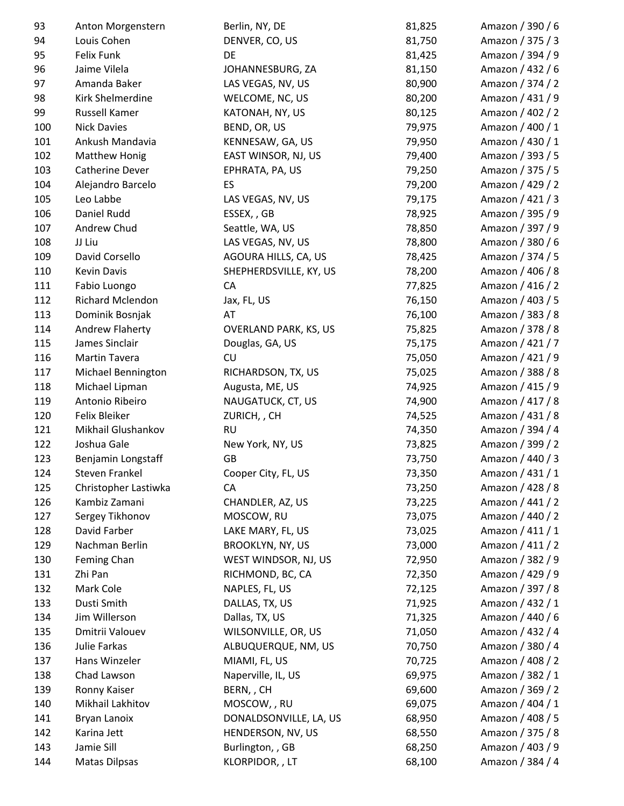| 93  | Anton Morgenstern         | Berlin, NY, DE               | 81,825 | Amazon / 390 / 6 |
|-----|---------------------------|------------------------------|--------|------------------|
| 94  | Louis Cohen               | DENVER, CO, US               | 81,750 | Amazon / 375 / 3 |
| 95  | <b>Felix Funk</b>         | DE                           | 81,425 | Amazon / 394 / 9 |
| 96  | Jaime Vilela              | JOHANNESBURG, ZA             | 81,150 | Amazon / 432 / 6 |
| 97  | Amanda Baker              | LAS VEGAS, NV, US            | 80,900 | Amazon / 374 / 2 |
| 98  | Kirk Shelmerdine          | WELCOME, NC, US              | 80,200 | Amazon / 431 / 9 |
| 99  | Russell Kamer             | KATONAH, NY, US              | 80,125 | Amazon / 402 / 2 |
| 100 | <b>Nick Davies</b>        | BEND, OR, US                 | 79,975 | Amazon / 400 / 1 |
| 101 | Ankush Mandavia           | KENNESAW, GA, US             | 79,950 | Amazon / 430 / 1 |
| 102 | <b>Matthew Honig</b>      | EAST WINSOR, NJ, US          | 79,400 | Amazon / 393 / 5 |
| 103 | Catherine Dever           | EPHRATA, PA, US              | 79,250 | Amazon / 375 / 5 |
| 104 | Alejandro Barcelo         | ES                           | 79,200 | Amazon / 429 / 2 |
| 105 | Leo Labbe                 | LAS VEGAS, NV, US            | 79,175 | Amazon / 421 / 3 |
| 106 | Daniel Rudd               | ESSEX, GB                    | 78,925 | Amazon / 395 / 9 |
| 107 | Andrew Chud               | Seattle, WA, US              | 78,850 | Amazon / 397 / 9 |
| 108 | JJ Liu                    | LAS VEGAS, NV, US            | 78,800 | Amazon / 380 / 6 |
| 109 | David Corsello            | AGOURA HILLS, CA, US         | 78,425 | Amazon / 374 / 5 |
| 110 | <b>Kevin Davis</b>        | SHEPHERDSVILLE, KY, US       | 78,200 | Amazon / 406 / 8 |
| 111 | Fabio Luongo              | CA                           | 77,825 | Amazon / 416 / 2 |
| 112 | Richard Mclendon          | Jax, FL, US                  | 76,150 | Amazon / 403 / 5 |
| 113 | Dominik Bosnjak           | AT                           | 76,100 | Amazon / 383 / 8 |
| 114 | Andrew Flaherty           | <b>OVERLAND PARK, KS, US</b> | 75,825 | Amazon / 378 / 8 |
| 115 | James Sinclair            | Douglas, GA, US              | 75,175 | Amazon / 421 / 7 |
| 116 | <b>Martin Tavera</b>      | CU                           | 75,050 | Amazon / 421 / 9 |
| 117 | <b>Michael Bennington</b> | RICHARDSON, TX, US           | 75,025 | Amazon / 388 / 8 |
| 118 | Michael Lipman            | Augusta, ME, US              | 74,925 | Amazon / 415 / 9 |
| 119 | Antonio Ribeiro           | NAUGATUCK, CT, US            | 74,900 | Amazon / 417 / 8 |
| 120 | Felix Bleiker             | ZURICH, , CH                 | 74,525 | Amazon / 431 / 8 |
| 121 | Mikhail Glushankov        | <b>RU</b>                    | 74,350 | Amazon / 394 / 4 |
| 122 | Joshua Gale               | New York, NY, US             | 73,825 | Amazon / 399 / 2 |
| 123 | Benjamin Longstaff        | GB                           | 73,750 | Amazon / 440 / 3 |
| 124 | Steven Frankel            | Cooper City, FL, US          | 73,350 | Amazon / 431 / 1 |
| 125 | Christopher Lastiwka      | СA                           | 73,250 | Amazon / 428 / 8 |
| 126 | Kambiz Zamani             | CHANDLER, AZ, US             | 73,225 | Amazon / 441 / 2 |
| 127 | Sergey Tikhonov           | MOSCOW, RU                   | 73,075 | Amazon / 440 / 2 |
| 128 | David Farber              | LAKE MARY, FL, US            | 73,025 | Amazon / 411 / 1 |
| 129 | Nachman Berlin            | <b>BROOKLYN, NY, US</b>      | 73,000 | Amazon / 411 / 2 |
| 130 | Feming Chan               | WEST WINDSOR, NJ, US         | 72,950 | Amazon / 382 / 9 |
| 131 | Zhi Pan                   | RICHMOND, BC, CA             | 72,350 | Amazon / 429 / 9 |
| 132 | Mark Cole                 | NAPLES, FL, US               | 72,125 | Amazon / 397 / 8 |
|     | Dusti Smith               |                              |        | Amazon / 432 / 1 |
| 133 |                           | DALLAS, TX, US               | 71,925 | Amazon / 440 / 6 |
| 134 | Jim Willerson             | Dallas, TX, US               | 71,325 |                  |
| 135 | Dmitrii Valouev           | WILSONVILLE, OR, US          | 71,050 | Amazon / 432 / 4 |
| 136 | Julie Farkas              | ALBUQUERQUE, NM, US          | 70,750 | Amazon / 380 / 4 |
| 137 | Hans Winzeler             | MIAMI, FL, US                | 70,725 | Amazon / 408 / 2 |
| 138 | Chad Lawson               | Naperville, IL, US           | 69,975 | Amazon / 382 / 1 |
| 139 | Ronny Kaiser              | BERN,, CH                    | 69,600 | Amazon / 369 / 2 |
| 140 | Mikhail Lakhitov          | MOSCOW, , RU                 | 69,075 | Amazon / 404 / 1 |
| 141 | Bryan Lanoix              | DONALDSONVILLE, LA, US       | 68,950 | Amazon / 408 / 5 |
| 142 | Karina Jett               | HENDERSON, NV, US            | 68,550 | Amazon / 375 / 8 |
| 143 | Jamie Sill                | Burlington, , GB             | 68,250 | Amazon / 403 / 9 |
| 144 | <b>Matas Dilpsas</b>      | KLORPIDOR, , LT              | 68,100 | Amazon / 384 / 4 |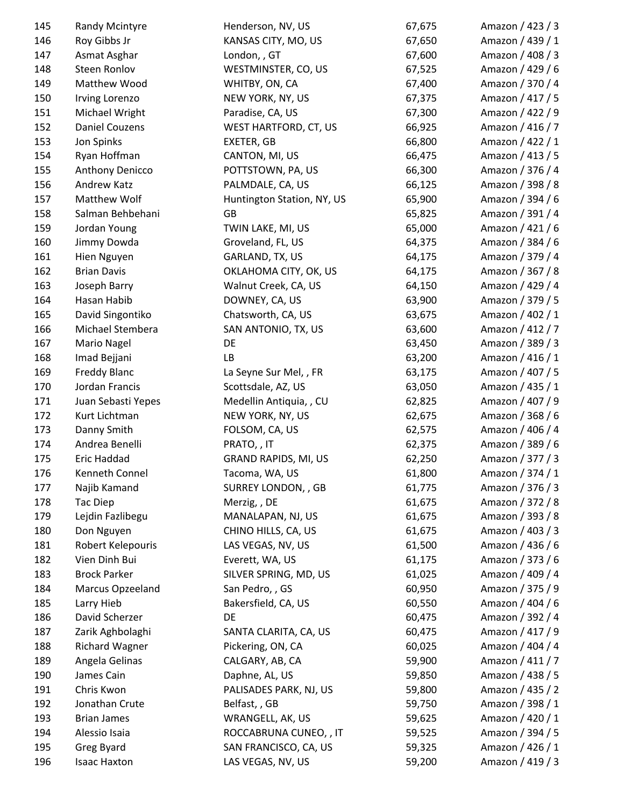| 145 | Randy Mcintyre        | Henderson, NV, US           | 67,675 | Amazon / 423 / 3 |
|-----|-----------------------|-----------------------------|--------|------------------|
| 146 | Roy Gibbs Jr          | KANSAS CITY, MO, US         | 67,650 | Amazon / 439 / 1 |
| 147 | Asmat Asghar          | London, , GT                | 67,600 | Amazon / 408 / 3 |
| 148 | Steen Ronlov          | WESTMINSTER, CO, US         | 67,525 | Amazon / 429 / 6 |
| 149 | Matthew Wood          | WHITBY, ON, CA              | 67,400 | Amazon / 370 / 4 |
| 150 | Irving Lorenzo        | NEW YORK, NY, US            | 67,375 | Amazon / 417 / 5 |
| 151 | Michael Wright        | Paradise, CA, US            | 67,300 | Amazon / 422 / 9 |
| 152 | <b>Daniel Couzens</b> | WEST HARTFORD, CT, US       | 66,925 | Amazon / 416 / 7 |
| 153 | Jon Spinks            | EXETER, GB                  | 66,800 | Amazon / 422 / 1 |
| 154 | Ryan Hoffman          | CANTON, MI, US              | 66,475 | Amazon / 413 / 5 |
| 155 | Anthony Denicco       | POTTSTOWN, PA, US           | 66,300 | Amazon / 376 / 4 |
| 156 | Andrew Katz           | PALMDALE, CA, US            | 66,125 | Amazon / 398 / 8 |
| 157 | Matthew Wolf          | Huntington Station, NY, US  | 65,900 | Amazon / 394 / 6 |
| 158 | Salman Behbehani      | GB                          | 65,825 | Amazon / 391 / 4 |
| 159 | Jordan Young          | TWIN LAKE, MI, US           | 65,000 | Amazon / 421 / 6 |
| 160 | Jimmy Dowda           | Groveland, FL, US           | 64,375 | Amazon / 384 / 6 |
| 161 | Hien Nguyen           | GARLAND, TX, US             | 64,175 | Amazon / 379 / 4 |
| 162 | <b>Brian Davis</b>    | OKLAHOMA CITY, OK, US       | 64,175 | Amazon / 367 / 8 |
| 163 | Joseph Barry          | Walnut Creek, CA, US        | 64,150 | Amazon / 429 / 4 |
| 164 | Hasan Habib           | DOWNEY, CA, US              | 63,900 | Amazon / 379 / 5 |
| 165 | David Singontiko      | Chatsworth, CA, US          | 63,675 | Amazon / 402 / 1 |
| 166 | Michael Stembera      | SAN ANTONIO, TX, US         | 63,600 | Amazon / 412 / 7 |
| 167 | Mario Nagel           | DE                          | 63,450 | Amazon / 389 / 3 |
| 168 | Imad Bejjani          | LB                          | 63,200 | Amazon / 416 / 1 |
| 169 | Freddy Blanc          | La Seyne Sur Mel,, FR       | 63,175 | Amazon / 407 / 5 |
| 170 | Jordan Francis        | Scottsdale, AZ, US          | 63,050 | Amazon / 435 / 1 |
| 171 | Juan Sebasti Yepes    | Medellin Antiquia, , CU     | 62,825 | Amazon / 407 / 9 |
| 172 | Kurt Lichtman         | NEW YORK, NY, US            | 62,675 | Amazon / 368 / 6 |
| 173 | Danny Smith           | FOLSOM, CA, US              | 62,575 | Amazon / 406 / 4 |
| 174 | Andrea Benelli        | PRATO, , IT                 | 62,375 | Amazon / 389 / 6 |
| 175 | Eric Haddad           | <b>GRAND RAPIDS, MI, US</b> | 62,250 | Amazon / 377 / 3 |
| 176 | Kenneth Connel        | Tacoma, WA, US              | 61,800 | Amazon / 374 / 1 |
| 177 | Najib Kamand          | SURREY LONDON, , GB         | 61,775 | Amazon / 376 / 3 |
| 178 | Tac Diep              | Merzig, , DE                | 61,675 | Amazon / 372 / 8 |
| 179 | Lejdin Fazlibegu      | MANALAPAN, NJ, US           | 61,675 | Amazon / 393 / 8 |
| 180 | Don Nguyen            | CHINO HILLS, CA, US         | 61,675 | Amazon / 403 / 3 |
| 181 | Robert Kelepouris     | LAS VEGAS, NV, US           | 61,500 | Amazon / 436 / 6 |
| 182 | Vien Dinh Bui         | Everett, WA, US             | 61,175 | Amazon / 373 / 6 |
| 183 | <b>Brock Parker</b>   | SILVER SPRING, MD, US       | 61,025 | Amazon / 409 / 4 |
| 184 | Marcus Opzeeland      | San Pedro, , GS             | 60,950 | Amazon / 375 / 9 |
| 185 | Larry Hieb            | Bakersfield, CA, US         | 60,550 | Amazon / 404 / 6 |
| 186 | David Scherzer        | DE                          | 60,475 | Amazon / 392 / 4 |
| 187 | Zarik Aghbolaghi      | SANTA CLARITA, CA, US       | 60,475 | Amazon / 417 / 9 |
| 188 | <b>Richard Wagner</b> | Pickering, ON, CA           | 60,025 | Amazon / 404 / 4 |
| 189 | Angela Gelinas        | CALGARY, AB, CA             | 59,900 | Amazon / 411 / 7 |
| 190 | James Cain            | Daphne, AL, US              | 59,850 | Amazon / 438 / 5 |
| 191 | Chris Kwon            | PALISADES PARK, NJ, US      | 59,800 | Amazon / 435 / 2 |
| 192 | Jonathan Crute        | Belfast, , GB               | 59,750 | Amazon / 398 / 1 |
| 193 | <b>Brian James</b>    | WRANGELL, AK, US            | 59,625 | Amazon / 420 / 1 |
| 194 | Alessio Isaia         | ROCCABRUNA CUNEO, , IT      | 59,525 | Amazon / 394 / 5 |
| 195 | Greg Byard            | SAN FRANCISCO, CA, US       | 59,325 | Amazon / 426 / 1 |
| 196 | <b>Isaac Haxton</b>   | LAS VEGAS, NV, US           | 59,200 | Amazon / 419 / 3 |
|     |                       |                             |        |                  |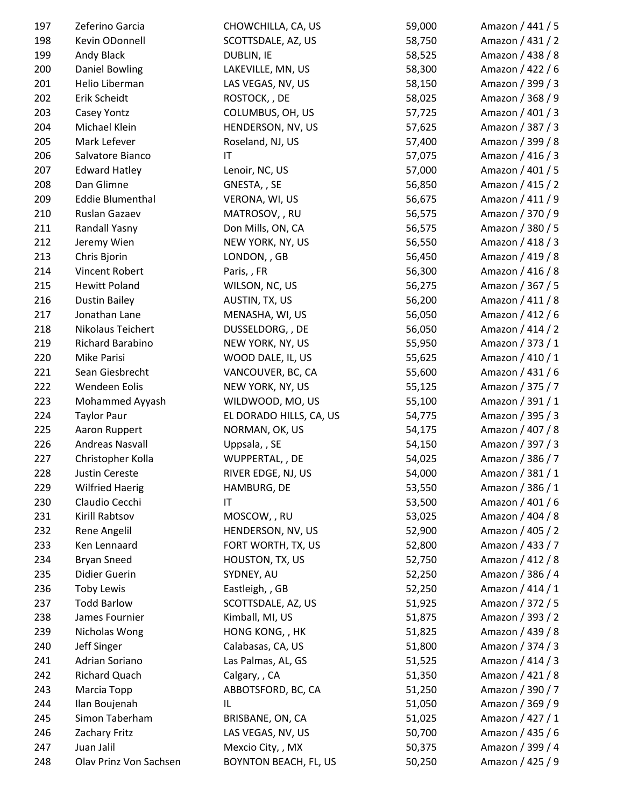| 197        | Zeferino Garcia                 | CHOWCHILLA, CA, US                    | 59,000           | Amazon / 441 / 5                     |
|------------|---------------------------------|---------------------------------------|------------------|--------------------------------------|
| 198        | Kevin ODonnell                  | SCOTTSDALE, AZ, US                    | 58,750           | Amazon / 431 / 2                     |
| 199        | Andy Black                      | <b>DUBLIN, IE</b>                     | 58,525           | Amazon / 438 / 8                     |
| 200        | <b>Daniel Bowling</b>           | LAKEVILLE, MN, US                     | 58,300           | Amazon / 422 / 6                     |
| 201        | Helio Liberman                  | LAS VEGAS, NV, US                     | 58,150           | Amazon / 399 / 3                     |
| 202        | Erik Scheidt                    | ROSTOCK, , DE                         | 58,025           | Amazon / 368 / 9                     |
| 203        | Casey Yontz                     | COLUMBUS, OH, US                      | 57,725           | Amazon / 401 / 3                     |
| 204        | Michael Klein                   | HENDERSON, NV, US                     | 57,625           | Amazon / 387 / 3                     |
| 205        | Mark Lefever                    | Roseland, NJ, US                      | 57,400           | Amazon / 399 / 8                     |
| 206        | Salvatore Bianco                | IT                                    | 57,075           | Amazon / 416 / 3                     |
| 207        | <b>Edward Hatley</b>            | Lenoir, NC, US                        | 57,000           | Amazon / 401 / 5                     |
| 208        | Dan Glimne                      | GNESTA, , SE                          | 56,850           | Amazon / 415 / 2                     |
| 209        | <b>Eddie Blumenthal</b>         | VERONA, WI, US                        | 56,675           | Amazon / 411 / 9                     |
| 210        | Ruslan Gazaev                   | MATROSOV, , RU                        | 56,575           | Amazon / 370 / 9                     |
| 211        | Randall Yasny                   | Don Mills, ON, CA                     | 56,575           | Amazon / 380 / 5                     |
| 212        | Jeremy Wien                     | NEW YORK, NY, US                      | 56,550           | Amazon / 418 / 3                     |
| 213        | Chris Bjorin                    | LONDON, , GB                          | 56,450           | Amazon / 419 / 8                     |
| 214        | Vincent Robert                  | Paris, , FR                           | 56,300           | Amazon / 416 / 8                     |
| 215        | <b>Hewitt Poland</b>            | WILSON, NC, US                        | 56,275           | Amazon / 367 / 5                     |
| 216        | <b>Dustin Bailey</b>            | AUSTIN, TX, US                        | 56,200           | Amazon / 411 / 8                     |
| 217        | Jonathan Lane                   | MENASHA, WI, US                       | 56,050           | Amazon / 412 / 6                     |
| 218        | Nikolaus Teichert               | DUSSELDORG, , DE                      | 56,050           | Amazon / 414 / 2                     |
| 219        | Richard Barabino                | NEW YORK, NY, US                      | 55,950           | Amazon / 373 / 1                     |
| 220        | Mike Parisi                     | WOOD DALE, IL, US                     | 55,625           | Amazon / 410 / 1                     |
| 221        | Sean Giesbrecht                 | VANCOUVER, BC, CA                     | 55,600           | Amazon / 431 / 6                     |
| 222        | Wendeen Eolis                   | NEW YORK, NY, US                      | 55,125           | Amazon / 375 / 7                     |
| 223        | Mohammed Ayyash                 | WILDWOOD, MO, US                      | 55,100           | Amazon / 391 / 1                     |
| 224        | <b>Taylor Paur</b>              | EL DORADO HILLS, CA, US               | 54,775           | Amazon / 395 / 3                     |
| 225        | Aaron Ruppert                   | NORMAN, OK, US                        | 54,175           | Amazon / 407 / 8                     |
| 226        | Andreas Nasvall                 | Uppsala, , SE                         | 54,150           | Amazon / 397 / 3                     |
| 227        | Christopher Kolla               | WUPPERTAL, , DE                       | 54,025           | Amazon / 386 / 7                     |
| 228        | <b>Justin Cereste</b>           | RIVER EDGE, NJ, US                    | 54,000           | Amazon / 381 / 1                     |
| 229        | <b>Wilfried Haerig</b>          | HAMBURG, DE                           | 53,550           | Amazon / 386 / 1                     |
| 230        | Claudio Cecchi                  | IT                                    | 53,500           | Amazon / 401 / 6                     |
| 231        | Kirill Rabtsov                  | MOSCOW, , RU                          | 53,025           | Amazon / 404 / 8                     |
| 232        | Rene Angelil                    | HENDERSON, NV, US                     | 52,900           | Amazon / 405 / 2                     |
| 233        | Ken Lennaard                    | FORT WORTH, TX, US                    | 52,800           | Amazon / 433 / 7                     |
| 234        | <b>Bryan Sneed</b>              | HOUSTON, TX, US                       | 52,750           | Amazon / 412 / 8                     |
| 235        | Didier Guerin                   | SYDNEY, AU                            | 52,250           | Amazon / 386 / 4                     |
| 236        | <b>Toby Lewis</b>               | Eastleigh, , GB                       | 52,250           | Amazon / 414 / 1                     |
| 237        | <b>Todd Barlow</b>              | SCOTTSDALE, AZ, US                    | 51,925           | Amazon / 372 / 5                     |
| 238        | James Fournier                  | Kimball, MI, US                       | 51,875           | Amazon / 393 / 2                     |
| 239        | Nicholas Wong                   | HONG KONG, , HK                       | 51,825           | Amazon / 439 / 8                     |
| 240        | Jeff Singer                     | Calabasas, CA, US                     | 51,800           | Amazon / 374 / 3                     |
| 241        | Adrian Soriano                  | Las Palmas, AL, GS                    | 51,525           | Amazon / 414 / 3                     |
| 242        | Richard Quach                   | Calgary, , CA                         | 51,350           | Amazon / 421 / 8                     |
| 243        | Marcia Topp                     | ABBOTSFORD, BC, CA                    | 51,250           | Amazon / 390 / 7                     |
|            |                                 |                                       |                  |                                      |
| 244<br>245 | Ilan Boujenah<br>Simon Taberham | IL                                    | 51,050           | Amazon / 369 / 9<br>Amazon / 427 / 1 |
| 246        | Zachary Fritz                   | BRISBANE, ON, CA<br>LAS VEGAS, NV, US | 51,025           | Amazon / 435 / 6                     |
| 247        | Juan Jalil                      | Mexcio City, , MX                     | 50,700<br>50,375 | Amazon / 399 / 4                     |
| 248        | Olav Prinz Von Sachsen          | BOYNTON BEACH, FL, US                 | 50,250           | Amazon / 425 / 9                     |
|            |                                 |                                       |                  |                                      |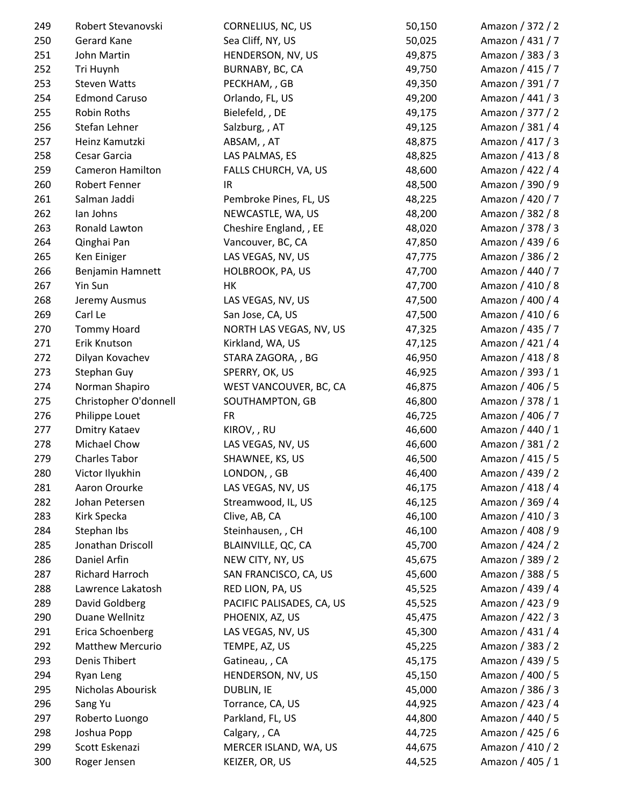| 249 | Robert Stevanovski      | CORNELIUS, NC, US         | 50,150 | Amazon / 372 / 2 |
|-----|-------------------------|---------------------------|--------|------------------|
| 250 | Gerard Kane             | Sea Cliff, NY, US         | 50,025 | Amazon / 431 / 7 |
| 251 | John Martin             | HENDERSON, NV, US         | 49,875 | Amazon / 383 / 3 |
| 252 | Tri Huynh               | BURNABY, BC, CA           | 49,750 | Amazon / 415 / 7 |
| 253 | <b>Steven Watts</b>     | PECKHAM, , GB             | 49,350 | Amazon / 391 / 7 |
| 254 | <b>Edmond Caruso</b>    | Orlando, FL, US           | 49,200 | Amazon / 441 / 3 |
| 255 | Robin Roths             | Bielefeld, , DE           | 49,175 | Amazon / 377 / 2 |
| 256 | Stefan Lehner           | Salzburg, , AT            | 49,125 | Amazon / 381 / 4 |
| 257 | Heinz Kamutzki          | ABSAM, , AT               | 48,875 | Amazon / 417 / 3 |
| 258 | Cesar Garcia            | LAS PALMAS, ES            | 48,825 | Amazon / 413 / 8 |
| 259 | Cameron Hamilton        | FALLS CHURCH, VA, US      | 48,600 | Amazon / 422 / 4 |
| 260 | Robert Fenner           | IR                        | 48,500 | Amazon / 390 / 9 |
| 261 | Salman Jaddi            | Pembroke Pines, FL, US    | 48,225 | Amazon / 420 / 7 |
| 262 | lan Johns               | NEWCASTLE, WA, US         | 48,200 | Amazon / 382 / 8 |
| 263 | Ronald Lawton           | Cheshire England, , EE    | 48,020 | Amazon / 378 / 3 |
| 264 | Qinghai Pan             | Vancouver, BC, CA         | 47,850 | Amazon / 439 / 6 |
| 265 | Ken Einiger             | LAS VEGAS, NV, US         | 47,775 | Amazon / 386 / 2 |
| 266 | Benjamin Hamnett        | HOLBROOK, PA, US          | 47,700 | Amazon / 440 / 7 |
| 267 | Yin Sun                 | HK                        | 47,700 | Amazon / 410 / 8 |
| 268 | Jeremy Ausmus           | LAS VEGAS, NV, US         | 47,500 | Amazon / 400 / 4 |
| 269 | Carl Le                 | San Jose, CA, US          | 47,500 | Amazon / 410 / 6 |
| 270 | <b>Tommy Hoard</b>      | NORTH LAS VEGAS, NV, US   | 47,325 | Amazon / 435 / 7 |
| 271 | Erik Knutson            | Kirkland, WA, US          | 47,125 | Amazon / 421 / 4 |
| 272 | Dilyan Kovachev         | STARA ZAGORA,, BG         | 46,950 | Amazon / 418 / 8 |
| 273 | Stephan Guy             | SPERRY, OK, US            | 46,925 | Amazon / 393 / 1 |
| 274 | Norman Shapiro          | WEST VANCOUVER, BC, CA    | 46,875 | Amazon / 406 / 5 |
| 275 | Christopher O'donnell   | SOUTHAMPTON, GB           | 46,800 | Amazon / 378 / 1 |
| 276 | Philippe Louet          | <b>FR</b>                 | 46,725 | Amazon / 406 / 7 |
| 277 | <b>Dmitry Kataev</b>    | KIROV, , RU               | 46,600 | Amazon / 440 / 1 |
| 278 | Michael Chow            | LAS VEGAS, NV, US         | 46,600 | Amazon / 381 / 2 |
| 279 | <b>Charles Tabor</b>    | SHAWNEE, KS, US           | 46,500 | Amazon / 415 / 5 |
| 280 | Victor Ilyukhin         | LONDON, , GB              | 46,400 | Amazon / 439 / 2 |
| 281 | Aaron Orourke           | LAS VEGAS, NV, US         | 46,175 | Amazon / 418 / 4 |
| 282 | Johan Petersen          | Streamwood, IL, US        | 46,125 | Amazon / 369 / 4 |
| 283 | Kirk Specka             | Clive, AB, CA             | 46,100 | Amazon / 410 / 3 |
| 284 | Stephan Ibs             | Steinhausen, , CH         | 46,100 | Amazon / 408 / 9 |
| 285 | Jonathan Driscoll       | BLAINVILLE, QC, CA        | 45,700 | Amazon / 424 / 2 |
| 286 | Daniel Arfin            | NEW CITY, NY, US          | 45,675 | Amazon / 389 / 2 |
| 287 | Richard Harroch         | SAN FRANCISCO, CA, US     | 45,600 | Amazon / 388 / 5 |
|     |                         |                           |        |                  |
| 288 | Lawrence Lakatosh       | RED LION, PA, US          | 45,525 | Amazon / 439 / 4 |
| 289 | David Goldberg          | PACIFIC PALISADES, CA, US | 45,525 | Amazon / 423 / 9 |
| 290 | Duane Wellnitz          | PHOENIX, AZ, US           | 45,475 | Amazon / 422 / 3 |
| 291 | Erica Schoenberg        | LAS VEGAS, NV, US         | 45,300 | Amazon / 431 / 4 |
| 292 | <b>Matthew Mercurio</b> | TEMPE, AZ, US             | 45,225 | Amazon / 383 / 2 |
| 293 | Denis Thibert           | Gatineau, , CA            | 45,175 | Amazon / 439 / 5 |
| 294 | Ryan Leng               | HENDERSON, NV, US         | 45,150 | Amazon / 400 / 5 |
| 295 | Nicholas Abourisk       | DUBLIN, IE                | 45,000 | Amazon / 386 / 3 |
| 296 | Sang Yu                 | Torrance, CA, US          | 44,925 | Amazon / 423 / 4 |
| 297 | Roberto Luongo          | Parkland, FL, US          | 44,800 | Amazon / 440 / 5 |
| 298 | Joshua Popp             | Calgary, , CA             | 44,725 | Amazon / 425 / 6 |
| 299 | Scott Eskenazi          | MERCER ISLAND, WA, US     | 44,675 | Amazon / 410 / 2 |
| 300 | Roger Jensen            | KEIZER, OR, US            | 44,525 | Amazon / 405 / 1 |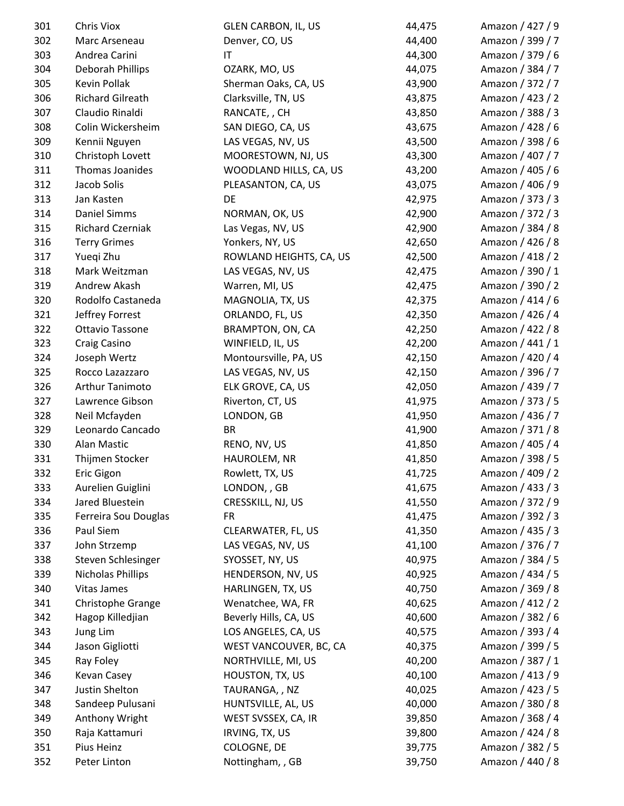| 301 | <b>Chris Viox</b>       | <b>GLEN CARBON, IL, US</b> | 44,475 | Amazon / 427 / 9 |
|-----|-------------------------|----------------------------|--------|------------------|
| 302 | Marc Arseneau           | Denver, CO, US             | 44,400 | Amazon / 399 / 7 |
| 303 | Andrea Carini           | $\mathsf{I}\mathsf{T}$     | 44,300 | Amazon / 379 / 6 |
| 304 | Deborah Phillips        | OZARK, MO, US              | 44,075 | Amazon / 384 / 7 |
| 305 | Kevin Pollak            | Sherman Oaks, CA, US       | 43,900 | Amazon / 372 / 7 |
| 306 | <b>Richard Gilreath</b> | Clarksville, TN, US        | 43,875 | Amazon / 423 / 2 |
| 307 | Claudio Rinaldi         | RANCATE, , CH              | 43,850 | Amazon / 388 / 3 |
| 308 | Colin Wickersheim       | SAN DIEGO, CA, US          | 43,675 | Amazon / 428 / 6 |
| 309 | Kennii Nguyen           | LAS VEGAS, NV, US          | 43,500 | Amazon / 398 / 6 |
| 310 | Christoph Lovett        | MOORESTOWN, NJ, US         | 43,300 | Amazon / 407 / 7 |
| 311 | Thomas Joanides         | WOODLAND HILLS, CA, US     | 43,200 | Amazon / 405 / 6 |
| 312 | Jacob Solis             | PLEASANTON, CA, US         | 43,075 | Amazon / 406 / 9 |
| 313 | Jan Kasten              | DE                         | 42,975 | Amazon / 373 / 3 |
| 314 | <b>Daniel Simms</b>     | NORMAN, OK, US             | 42,900 | Amazon / 372 / 3 |
| 315 | <b>Richard Czerniak</b> | Las Vegas, NV, US          | 42,900 | Amazon / 384 / 8 |
| 316 | <b>Terry Grimes</b>     | Yonkers, NY, US            | 42,650 | Amazon / 426 / 8 |
| 317 | Yuegi Zhu               | ROWLAND HEIGHTS, CA, US    | 42,500 | Amazon / 418 / 2 |
| 318 | Mark Weitzman           | LAS VEGAS, NV, US          | 42,475 | Amazon / 390 / 1 |
| 319 | Andrew Akash            | Warren, MI, US             | 42,475 | Amazon / 390 / 2 |
| 320 | Rodolfo Castaneda       | MAGNOLIA, TX, US           | 42,375 | Amazon / 414 / 6 |
| 321 | Jeffrey Forrest         | ORLANDO, FL, US            | 42,350 | Amazon / 426 / 4 |
| 322 | Ottavio Tassone         | BRAMPTON, ON, CA           | 42,250 | Amazon / 422 / 8 |
| 323 | Craig Casino            | WINFIELD, IL, US           | 42,200 | Amazon / 441 / 1 |
| 324 | Joseph Wertz            | Montoursville, PA, US      | 42,150 | Amazon / 420 / 4 |
| 325 | Rocco Lazazzaro         | LAS VEGAS, NV, US          | 42,150 | Amazon / 396 / 7 |
| 326 | Arthur Tanimoto         | ELK GROVE, CA, US          | 42,050 | Amazon / 439 / 7 |
| 327 | Lawrence Gibson         | Riverton, CT, US           | 41,975 | Amazon / 373 / 5 |
| 328 | Neil Mcfayden           | LONDON, GB                 | 41,950 | Amazon / 436 / 7 |
| 329 | Leonardo Cancado        | <b>BR</b>                  | 41,900 | Amazon / 371 / 8 |
| 330 | Alan Mastic             | RENO, NV, US               | 41,850 | Amazon / 405 / 4 |
| 331 | Thijmen Stocker         | HAUROLEM, NR               | 41,850 | Amazon / 398 / 5 |
| 332 | Eric Gigon              | Rowlett, TX, US            | 41,725 | Amazon / 409 / 2 |
| 333 | Aurelien Guiglini       | LONDON, , GB               | 41,675 | Amazon / 433 / 3 |
| 334 | Jared Bluestein         | CRESSKILL, NJ, US          | 41,550 | Amazon / 372 / 9 |
| 335 | Ferreira Sou Douglas    | <b>FR</b>                  | 41,475 | Amazon / 392 / 3 |
| 336 | Paul Siem               | CLEARWATER, FL, US         | 41,350 | Amazon / 435 / 3 |
| 337 | John Strzemp            | LAS VEGAS, NV, US          | 41,100 | Amazon / 376 / 7 |
| 338 | Steven Schlesinger      | SYOSSET, NY, US            | 40,975 | Amazon / 384 / 5 |
| 339 | Nicholas Phillips       | HENDERSON, NV, US          | 40,925 | Amazon / 434 / 5 |
| 340 | <b>Vitas James</b>      | HARLINGEN, TX, US          | 40,750 | Amazon / 369 / 8 |
| 341 | Christophe Grange       | Wenatchee, WA, FR          | 40,625 | Amazon / 412 / 2 |
| 342 | Hagop Killedjian        | Beverly Hills, CA, US      | 40,600 | Amazon / 382 / 6 |
| 343 | Jung Lim                | LOS ANGELES, CA, US        | 40,575 | Amazon / 393 / 4 |
| 344 | Jason Gigliotti         | WEST VANCOUVER, BC, CA     | 40,375 | Amazon / 399 / 5 |
| 345 | Ray Foley               | NORTHVILLE, MI, US         | 40,200 | Amazon / 387 / 1 |
| 346 | Kevan Casey             | HOUSTON, TX, US            | 40,100 | Amazon / 413 / 9 |
| 347 | Justin Shelton          | TAURANGA,, NZ              | 40,025 | Amazon / 423 / 5 |
| 348 | Sandeep Pulusani        | HUNTSVILLE, AL, US         | 40,000 | Amazon / 380 / 8 |
| 349 | Anthony Wright          | WEST SVSSEX, CA, IR        | 39,850 | Amazon / 368 / 4 |
| 350 | Raja Kattamuri          | IRVING, TX, US             | 39,800 | Amazon / 424 / 8 |
| 351 | Pius Heinz              | COLOGNE, DE                | 39,775 | Amazon / 382 / 5 |
| 352 | Peter Linton            | Nottingham, , GB           | 39,750 | Amazon / 440 / 8 |
|     |                         |                            |        |                  |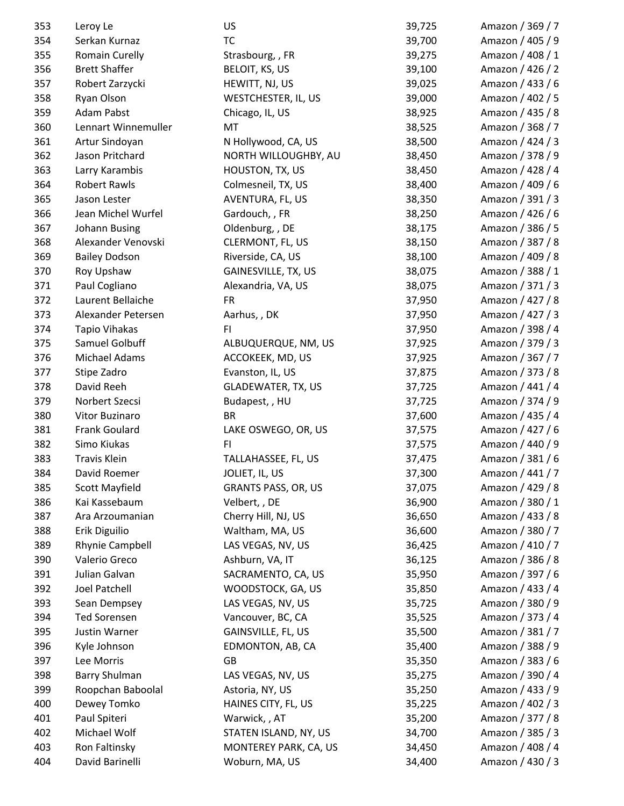| 353 | Leroy Le              | US                         | 39,725 | Amazon / 369 / 7 |
|-----|-----------------------|----------------------------|--------|------------------|
| 354 | Serkan Kurnaz         | <b>TC</b>                  | 39,700 | Amazon / 405 / 9 |
| 355 | <b>Romain Curelly</b> | Strasbourg, , FR           | 39,275 | Amazon / 408 / 1 |
| 356 | <b>Brett Shaffer</b>  | BELOIT, KS, US             | 39,100 | Amazon / 426 / 2 |
| 357 | Robert Zarzycki       | HEWITT, NJ, US             | 39,025 | Amazon / 433 / 6 |
| 358 | Ryan Olson            | WESTCHESTER, IL, US        | 39,000 | Amazon / 402 / 5 |
| 359 | <b>Adam Pabst</b>     | Chicago, IL, US            | 38,925 | Amazon / 435 / 8 |
| 360 | Lennart Winnemuller   | MT                         | 38,525 | Amazon / 368 / 7 |
| 361 | Artur Sindoyan        | N Hollywood, CA, US        | 38,500 | Amazon / 424 / 3 |
| 362 | Jason Pritchard       | NORTH WILLOUGHBY, AU       | 38,450 | Amazon / 378 / 9 |
| 363 | Larry Karambis        | HOUSTON, TX, US            | 38,450 | Amazon / 428 / 4 |
| 364 | <b>Robert Rawls</b>   | Colmesneil, TX, US         | 38,400 | Amazon / 409 / 6 |
| 365 | Jason Lester          | AVENTURA, FL, US           | 38,350 | Amazon / 391 / 3 |
| 366 | Jean Michel Wurfel    | Gardouch, , FR             | 38,250 | Amazon / 426 / 6 |
| 367 | Johann Busing         | Oldenburg, , DE            | 38,175 | Amazon / 386 / 5 |
| 368 | Alexander Venovski    | CLERMONT, FL, US           | 38,150 | Amazon / 387 / 8 |
| 369 | <b>Bailey Dodson</b>  | Riverside, CA, US          | 38,100 | Amazon / 409 / 8 |
| 370 | Roy Upshaw            | GAINESVILLE, TX, US        | 38,075 | Amazon / 388 / 1 |
| 371 | Paul Cogliano         | Alexandria, VA, US         | 38,075 | Amazon / 371 / 3 |
| 372 | Laurent Bellaiche     | <b>FR</b>                  | 37,950 | Amazon / 427 / 8 |
| 373 | Alexander Petersen    | Aarhus, , DK               | 37,950 | Amazon / 427 / 3 |
| 374 | <b>Tapio Vihakas</b>  | F1                         | 37,950 | Amazon / 398 / 4 |
| 375 | Samuel Golbuff        | ALBUQUERQUE, NM, US        | 37,925 | Amazon / 379 / 3 |
| 376 | Michael Adams         | ACCOKEEK, MD, US           | 37,925 | Amazon / 367 / 7 |
| 377 | Stipe Zadro           | Evanston, IL, US           | 37,875 | Amazon / 373 / 8 |
| 378 | David Reeh            | <b>GLADEWATER, TX, US</b>  | 37,725 | Amazon / 441 / 4 |
| 379 | Norbert Szecsi        | Budapest, , HU             | 37,725 | Amazon / 374 / 9 |
| 380 | Vitor Buzinaro        | <b>BR</b>                  | 37,600 | Amazon / 435 / 4 |
| 381 | Frank Goulard         | LAKE OSWEGO, OR, US        | 37,575 | Amazon / 427 / 6 |
| 382 | Simo Kiukas           | FI.                        | 37,575 | Amazon / 440 / 9 |
| 383 | <b>Travis Klein</b>   | TALLAHASSEE, FL, US        | 37,475 | Amazon / 381 / 6 |
| 384 | David Roemer          | JOLIET, IL, US             | 37,300 | Amazon / 441 / 7 |
| 385 | <b>Scott Mayfield</b> | <b>GRANTS PASS, OR, US</b> | 37,075 | Amazon / 429 / 8 |
| 386 | Kai Kassebaum         | Velbert, , DE              | 36,900 | Amazon / 380 / 1 |
| 387 | Ara Arzoumanian       | Cherry Hill, NJ, US        | 36,650 | Amazon / 433 / 8 |
| 388 | Erik Diguilio         | Waltham, MA, US            | 36,600 | Amazon / 380 / 7 |
| 389 | Rhynie Campbell       | LAS VEGAS, NV, US          | 36,425 | Amazon / 410 / 7 |
| 390 | Valerio Greco         | Ashburn, VA, IT            | 36,125 | Amazon / 386 / 8 |
| 391 | Julian Galvan         | SACRAMENTO, CA, US         | 35,950 | Amazon / 397 / 6 |
| 392 | Joel Patchell         | WOODSTOCK, GA, US          | 35,850 | Amazon / 433 / 4 |
| 393 | Sean Dempsey          | LAS VEGAS, NV, US          | 35,725 | Amazon / 380 / 9 |
| 394 | <b>Ted Sorensen</b>   | Vancouver, BC, CA          | 35,525 | Amazon / 373 / 4 |
| 395 | Justin Warner         | GAINSVILLE, FL, US         | 35,500 | Amazon / 381 / 7 |
| 396 | Kyle Johnson          | EDMONTON, AB, CA           | 35,400 | Amazon / 388 / 9 |
| 397 | Lee Morris            | GB                         | 35,350 | Amazon / 383 / 6 |
| 398 | <b>Barry Shulman</b>  | LAS VEGAS, NV, US          | 35,275 | Amazon / 390 / 4 |
| 399 | Roopchan Baboolal     | Astoria, NY, US            | 35,250 | Amazon / 433 / 9 |
| 400 | Dewey Tomko           | HAINES CITY, FL, US        | 35,225 | Amazon / 402 / 3 |
| 401 | Paul Spiteri          | Warwick, , AT              | 35,200 | Amazon / 377 / 8 |
| 402 | Michael Wolf          | STATEN ISLAND, NY, US      | 34,700 | Amazon / 385 / 3 |
| 403 | Ron Faltinsky         | MONTEREY PARK, CA, US      | 34,450 | Amazon / 408 / 4 |
| 404 | David Barinelli       | Woburn, MA, US             | 34,400 | Amazon / 430 / 3 |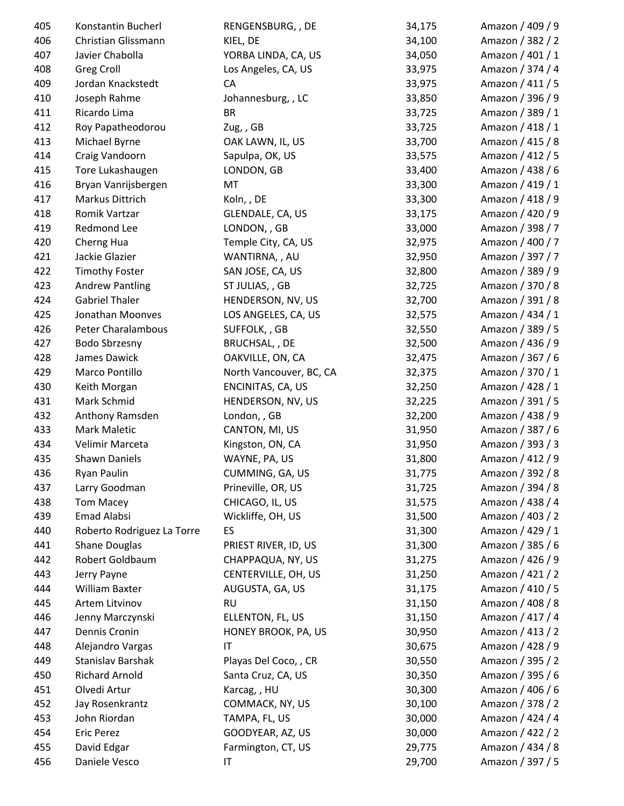| 405 | Konstantin Bucherl         | RENGENSBURG, , DE       | 34,175 | Amazon / 409 / 9 |
|-----|----------------------------|-------------------------|--------|------------------|
| 406 | Christian Glissmann        | KIEL, DE                | 34,100 | Amazon / 382 / 2 |
| 407 | Javier Chabolla            | YORBA LINDA, CA, US     | 34,050 | Amazon / 401 / 1 |
| 408 | Greg Croll                 | Los Angeles, CA, US     | 33,975 | Amazon / 374 / 4 |
| 409 | Jordan Knackstedt          | CA                      | 33,975 | Amazon / 411 / 5 |
| 410 | Joseph Rahme               | Johannesburg, , LC      | 33,850 | Amazon / 396 / 9 |
| 411 | Ricardo Lima               | <b>BR</b>               | 33,725 | Amazon / 389 / 1 |
| 412 | Roy Papatheodorou          | Zug,, GB                | 33,725 | Amazon / 418 / 1 |
| 413 | Michael Byrne              | OAK LAWN, IL, US        | 33,700 | Amazon / 415 / 8 |
| 414 | Craig Vandoorn             | Sapulpa, OK, US         | 33,575 | Amazon / 412 / 5 |
| 415 | Tore Lukashaugen           | LONDON, GB              | 33,400 | Amazon / 438 / 6 |
| 416 | Bryan Vanrijsbergen        | MT                      | 33,300 | Amazon / 419 / 1 |
| 417 | Markus Dittrich            | Koln, , DE              | 33,300 | Amazon / 418 / 9 |
| 418 | Romik Vartzar              | GLENDALE, CA, US        | 33,175 | Amazon / 420 / 9 |
| 419 | Redmond Lee                | LONDON, , GB            | 33,000 | Amazon / 398 / 7 |
| 420 | Cherng Hua                 | Temple City, CA, US     | 32,975 | Amazon / 400 / 7 |
| 421 | Jackie Glazier             | WANTIRNA,, AU           | 32,950 | Amazon / 397 / 7 |
| 422 | <b>Timothy Foster</b>      | SAN JOSE, CA, US        | 32,800 | Amazon / 389 / 9 |
| 423 | <b>Andrew Pantling</b>     | ST JULIAS, , GB         | 32,725 | Amazon / 370 / 8 |
| 424 | <b>Gabriel Thaler</b>      | HENDERSON, NV, US       | 32,700 | Amazon / 391 / 8 |
| 425 | Jonathan Moonves           | LOS ANGELES, CA, US     | 32,575 | Amazon / 434 / 1 |
| 426 | <b>Peter Charalambous</b>  | SUFFOLK, , GB           | 32,550 | Amazon / 389 / 5 |
| 427 | Bodo Sbrzesny              | BRUCHSAL, , DE          | 32,500 | Amazon / 436 / 9 |
| 428 | James Dawick               | OAKVILLE, ON, CA        | 32,475 | Amazon / 367 / 6 |
| 429 | Marco Pontillo             | North Vancouver, BC, CA | 32,375 | Amazon / 370 / 1 |
| 430 | Keith Morgan               | ENCINITAS, CA, US       | 32,250 | Amazon / 428 / 1 |
| 431 | Mark Schmid                | HENDERSON, NV, US       | 32,225 | Amazon / 391 / 5 |
| 432 | Anthony Ramsden            | London, , GB            | 32,200 | Amazon / 438 / 9 |
| 433 | Mark Maletic               | CANTON, MI, US          | 31,950 | Amazon / 387 / 6 |
| 434 | Velimir Marceta            | Kingston, ON, CA        | 31,950 | Amazon / 393 / 3 |
| 435 | Shawn Daniels              | WAYNE, PA, US           | 31,800 | Amazon / 412 / 9 |
| 436 | Ryan Paulin                | CUMMING, GA, US         | 31,775 | Amazon / 392 / 8 |
| 437 | Larry Goodman              | Prineville, OR, US      | 31,725 | Amazon / 394 / 8 |
| 438 | <b>Tom Macey</b>           | CHICAGO, IL, US         | 31,575 | Amazon / 438 / 4 |
| 439 | <b>Emad Alabsi</b>         | Wickliffe, OH, US       | 31,500 | Amazon / 403 / 2 |
| 440 | Roberto Rodriguez La Torre | ES                      | 31,300 | Amazon / 429 / 1 |
| 441 | <b>Shane Douglas</b>       | PRIEST RIVER, ID, US    | 31,300 | Amazon / 385 / 6 |
| 442 | Robert Goldbaum            | CHAPPAQUA, NY, US       | 31,275 | Amazon / 426 / 9 |
| 443 | Jerry Payne                | CENTERVILLE, OH, US     | 31,250 | Amazon / 421 / 2 |
| 444 | William Baxter             | AUGUSTA, GA, US         | 31,175 | Amazon / 410 / 5 |
| 445 | Artem Litvinov             | <b>RU</b>               | 31,150 | Amazon / 408 / 8 |
| 446 | Jenny Marczynski           | ELLENTON, FL, US        | 31,150 | Amazon / 417 / 4 |
| 447 | Dennis Cronin              | HONEY BROOK, PA, US     | 30,950 | Amazon / 413 / 2 |
| 448 | Alejandro Vargas           | ΙT                      | 30,675 | Amazon / 428 / 9 |
| 449 | Stanislav Barshak          | Playas Del Coco, , CR   | 30,550 | Amazon / 395 / 2 |
| 450 | <b>Richard Arnold</b>      | Santa Cruz, CA, US      | 30,350 | Amazon / 395 / 6 |
| 451 | Olvedi Artur               | Karcag, , HU            | 30,300 | Amazon / 406 / 6 |
| 452 | Jay Rosenkrantz            | COMMACK, NY, US         | 30,100 | Amazon / 378 / 2 |
| 453 | John Riordan               | TAMPA, FL, US           | 30,000 | Amazon / 424 / 4 |
| 454 | <b>Eric Perez</b>          | GOODYEAR, AZ, US        | 30,000 | Amazon / 422 / 2 |
| 455 | David Edgar                | Farmington, CT, US      | 29,775 | Amazon / 434 / 8 |
| 456 | Daniele Vesco              | IT                      | 29,700 | Amazon / 397 / 5 |
|     |                            |                         |        |                  |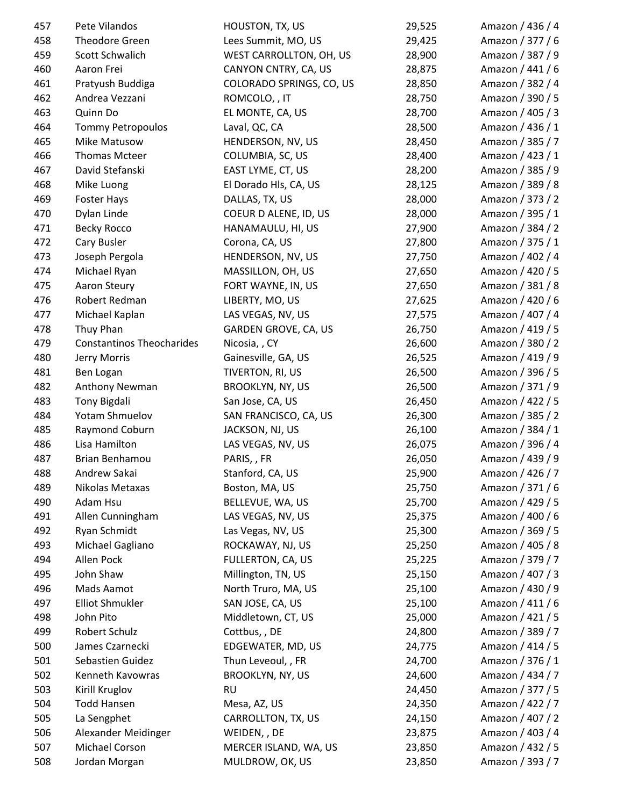| 457 | Pete Vilandos                    | HOUSTON, TX, US                | 29,525 | Amazon / 436 / 4 |
|-----|----------------------------------|--------------------------------|--------|------------------|
| 458 | Theodore Green                   | Lees Summit, MO, US            | 29,425 | Amazon / 377 / 6 |
| 459 | Scott Schwalich                  | <b>WEST CARROLLTON, OH, US</b> | 28,900 | Amazon / 387 / 9 |
| 460 | Aaron Frei                       | CANYON CNTRY, CA, US           | 28,875 | Amazon / 441 / 6 |
| 461 | Pratyush Buddiga                 | COLORADO SPRINGS, CO, US       | 28,850 | Amazon / 382 / 4 |
| 462 | Andrea Vezzani                   | ROMCOLO, , IT                  | 28,750 | Amazon / 390 / 5 |
| 463 | Quinn Do                         | EL MONTE, CA, US               | 28,700 | Amazon / 405 / 3 |
| 464 | <b>Tommy Petropoulos</b>         | Laval, QC, CA                  | 28,500 | Amazon / 436 / 1 |
| 465 | Mike Matusow                     | HENDERSON, NV, US              | 28,450 | Amazon / 385 / 7 |
| 466 | <b>Thomas Mcteer</b>             | COLUMBIA, SC, US               | 28,400 | Amazon / 423 / 1 |
| 467 | David Stefanski                  | EAST LYME, CT, US              | 28,200 | Amazon / 385 / 9 |
| 468 | Mike Luong                       | El Dorado Hls, CA, US          | 28,125 | Amazon / 389 / 8 |
| 469 | Foster Hays                      | DALLAS, TX, US                 | 28,000 | Amazon / 373 / 2 |
| 470 | Dylan Linde                      | COEUR D ALENE, ID, US          | 28,000 | Amazon / 395 / 1 |
| 471 | <b>Becky Rocco</b>               | HANAMAULU, HI, US              | 27,900 | Amazon / 384 / 2 |
| 472 | Cary Busler                      | Corona, CA, US                 | 27,800 | Amazon / 375 / 1 |
| 473 | Joseph Pergola                   | HENDERSON, NV, US              | 27,750 | Amazon / 402 / 4 |
| 474 | Michael Ryan                     | MASSILLON, OH, US              | 27,650 | Amazon / 420 / 5 |
| 475 | Aaron Steury                     | FORT WAYNE, IN, US             | 27,650 | Amazon / 381 / 8 |
| 476 | Robert Redman                    | LIBERTY, MO, US                | 27,625 | Amazon / 420 / 6 |
| 477 | Michael Kaplan                   | LAS VEGAS, NV, US              | 27,575 | Amazon / 407 / 4 |
| 478 | Thuy Phan                        | GARDEN GROVE, CA, US           | 26,750 | Amazon / 419 / 5 |
| 479 | <b>Constantinos Theocharides</b> | Nicosia, , CY                  | 26,600 | Amazon / 380 / 2 |
| 480 | Jerry Morris                     | Gainesville, GA, US            | 26,525 | Amazon / 419 / 9 |
| 481 | Ben Logan                        | TIVERTON, RI, US               | 26,500 | Amazon / 396 / 5 |
| 482 | Anthony Newman                   | <b>BROOKLYN, NY, US</b>        | 26,500 | Amazon / 371 / 9 |
| 483 | Tony Bigdali                     | San Jose, CA, US               | 26,450 | Amazon / 422 / 5 |
| 484 | Yotam Shmuelov                   | SAN FRANCISCO, CA, US          | 26,300 | Amazon / 385 / 2 |
| 485 | Raymond Coburn                   | JACKSON, NJ, US                | 26,100 | Amazon / 384 / 1 |
| 486 | Lisa Hamilton                    | LAS VEGAS, NV, US              | 26,075 | Amazon / 396 / 4 |
| 487 | Brian Benhamou                   | PARIS, , FR                    | 26,050 | Amazon / 439 / 9 |
| 488 | Andrew Sakai                     | Stanford, CA, US               | 25,900 | Amazon / 426 / 7 |
| 489 | Nikolas Metaxas                  | Boston, MA, US                 | 25,750 | Amazon / 371 / 6 |
| 490 | Adam Hsu                         | BELLEVUE, WA, US               | 25,700 | Amazon / 429 / 5 |
| 491 | Allen Cunningham                 | LAS VEGAS, NV, US              | 25,375 | Amazon / 400 / 6 |
| 492 | Ryan Schmidt                     | Las Vegas, NV, US              | 25,300 | Amazon / 369 / 5 |
| 493 | Michael Gagliano                 | ROCKAWAY, NJ, US               | 25,250 | Amazon / 405 / 8 |
| 494 | Allen Pock                       | FULLERTON, CA, US              | 25,225 | Amazon / 379 / 7 |
| 495 | John Shaw                        | Millington, TN, US             | 25,150 | Amazon / 407 / 3 |
| 496 | Mads Aamot                       | North Truro, MA, US            | 25,100 | Amazon / 430 / 9 |
| 497 | <b>Elliot Shmukler</b>           | SAN JOSE, CA, US               | 25,100 | Amazon / 411 / 6 |
| 498 | John Pito                        | Middletown, CT, US             | 25,000 | Amazon / 421 / 5 |
| 499 | Robert Schulz                    | Cottbus,, DE                   | 24,800 | Amazon / 389 / 7 |
| 500 | James Czarnecki                  | EDGEWATER, MD, US              | 24,775 | Amazon / 414 / 5 |
| 501 | Sebastien Guidez                 | Thun Leveoul, , FR             | 24,700 | Amazon / 376 / 1 |
| 502 | Kenneth Kavowras                 | <b>BROOKLYN, NY, US</b>        | 24,600 | Amazon / 434 / 7 |
| 503 | Kirill Kruglov                   | <b>RU</b>                      | 24,450 | Amazon / 377 / 5 |
| 504 | <b>Todd Hansen</b>               | Mesa, AZ, US                   | 24,350 | Amazon / 422 / 7 |
| 505 | La Sengphet                      | CARROLLTON, TX, US             | 24,150 | Amazon / 407 / 2 |
| 506 | Alexander Meidinger              | WEIDEN, , DE                   | 23,875 | Amazon / 403 / 4 |
| 507 | Michael Corson                   | MERCER ISLAND, WA, US          | 23,850 | Amazon / 432 / 5 |
| 508 | Jordan Morgan                    | MULDROW, OK, US                | 23,850 | Amazon / 393 / 7 |
|     |                                  |                                |        |                  |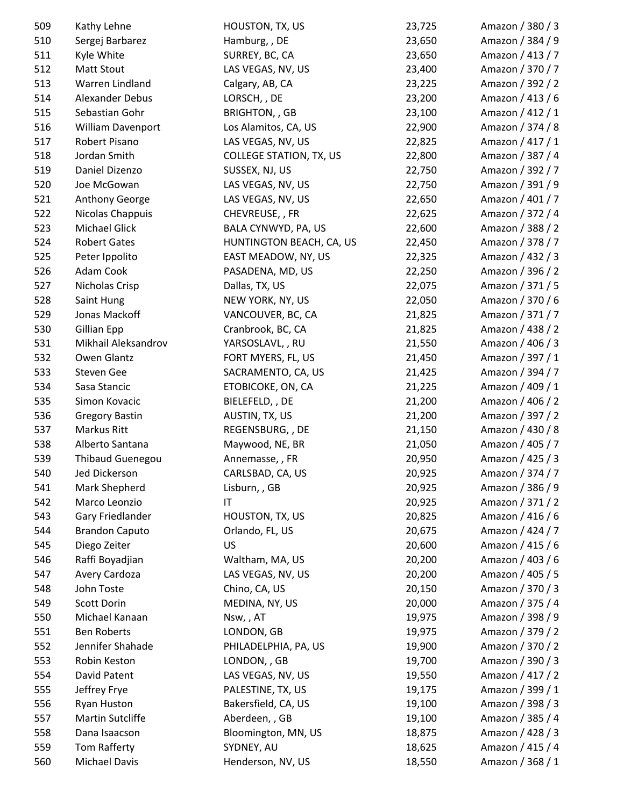| 509 | Kathy Lehne             | HOUSTON, TX, US                | 23,725 | Amazon / 380 / 3 |
|-----|-------------------------|--------------------------------|--------|------------------|
| 510 | Sergej Barbarez         | Hamburg, , DE                  | 23,650 | Amazon / 384 / 9 |
| 511 | Kyle White              | SURREY, BC, CA                 | 23,650 | Amazon / 413 / 7 |
| 512 | Matt Stout              | LAS VEGAS, NV, US              | 23,400 | Amazon / 370 / 7 |
| 513 | Warren Lindland         | Calgary, AB, CA                | 23,225 | Amazon / 392 / 2 |
| 514 | <b>Alexander Debus</b>  | LORSCH, , DE                   | 23,200 | Amazon / 413 / 6 |
| 515 | Sebastian Gohr          | <b>BRIGHTON,, GB</b>           | 23,100 | Amazon / 412 / 1 |
| 516 | William Davenport       | Los Alamitos, CA, US           | 22,900 | Amazon / 374 / 8 |
| 517 | Robert Pisano           | LAS VEGAS, NV, US              | 22,825 | Amazon / 417 / 1 |
| 518 | Jordan Smith            | <b>COLLEGE STATION, TX, US</b> | 22,800 | Amazon / 387 / 4 |
| 519 | Daniel Dizenzo          | SUSSEX, NJ, US                 | 22,750 | Amazon / 392 / 7 |
| 520 | Joe McGowan             | LAS VEGAS, NV, US              | 22,750 | Amazon / 391 / 9 |
| 521 | Anthony George          | LAS VEGAS, NV, US              | 22,650 | Amazon / 401 / 7 |
| 522 | Nicolas Chappuis        | CHEVREUSE, , FR                | 22,625 | Amazon / 372 / 4 |
| 523 | Michael Glick           | BALA CYNWYD, PA, US            | 22,600 | Amazon / 388 / 2 |
| 524 | <b>Robert Gates</b>     | HUNTINGTON BEACH, CA, US       | 22,450 | Amazon / 378 / 7 |
| 525 | Peter Ippolito          | EAST MEADOW, NY, US            | 22,325 | Amazon / 432 / 3 |
| 526 | Adam Cook               | PASADENA, MD, US               | 22,250 | Amazon / 396 / 2 |
| 527 | Nicholas Crisp          | Dallas, TX, US                 | 22,075 | Amazon / 371 / 5 |
| 528 | Saint Hung              | NEW YORK, NY, US               | 22,050 | Amazon / 370 / 6 |
| 529 | Jonas Mackoff           | VANCOUVER, BC, CA              | 21,825 | Amazon / 371 / 7 |
| 530 | <b>Gillian Epp</b>      | Cranbrook, BC, CA              | 21,825 | Amazon / 438 / 2 |
| 531 | Mikhail Aleksandrov     | YARSOSLAVL, , RU               | 21,550 | Amazon / 406 / 3 |
| 532 | Owen Glantz             | FORT MYERS, FL, US             | 21,450 | Amazon / 397 / 1 |
| 533 | Steven Gee              | SACRAMENTO, CA, US             | 21,425 | Amazon / 394 / 7 |
| 534 | Sasa Stancic            | ETOBICOKE, ON, CA              | 21,225 | Amazon / 409 / 1 |
| 535 | Simon Kovacic           | BIELEFELD, , DE                | 21,200 | Amazon / 406 / 2 |
| 536 | <b>Gregory Bastin</b>   | AUSTIN, TX, US                 | 21,200 | Amazon / 397 / 2 |
| 537 | Markus Ritt             | REGENSBURG, , DE               | 21,150 | Amazon / 430 / 8 |
| 538 | Alberto Santana         |                                |        | Amazon / 405 / 7 |
| 539 | <b>Thibaud Guenegou</b> | Maywood, NE, BR                | 21,050 |                  |
|     |                         | Annemasse, , FR                | 20,950 | Amazon / 425 / 3 |
| 540 | Jed Dickerson           | CARLSBAD, CA, US               | 20,925 | Amazon / 374 / 7 |
| 541 | Mark Shepherd           | Lisburn, , GB<br>IT            | 20,925 | Amazon / 386 / 9 |
| 542 | Marco Leonzio           |                                | 20,925 | Amazon / 371 / 2 |
| 543 | Gary Friedlander        | HOUSTON, TX, US                | 20,825 | Amazon / 416 / 6 |
| 544 | <b>Brandon Caputo</b>   | Orlando, FL, US                | 20,675 | Amazon / 424 / 7 |
| 545 | Diego Zeiter            | US                             | 20,600 | Amazon / 415 / 6 |
| 546 | Raffi Boyadjian         | Waltham, MA, US                | 20,200 | Amazon / 403 / 6 |
| 547 | Avery Cardoza           | LAS VEGAS, NV, US              | 20,200 | Amazon / 405 / 5 |
| 548 | John Toste              | Chino, CA, US                  | 20,150 | Amazon / 370 / 3 |
| 549 | Scott Dorin             | MEDINA, NY, US                 | 20,000 | Amazon / 375 / 4 |
| 550 | Michael Kanaan          | Nsw,, AT                       | 19,975 | Amazon / 398 / 9 |
| 551 | <b>Ben Roberts</b>      | LONDON, GB                     | 19,975 | Amazon / 379 / 2 |
| 552 | Jennifer Shahade        | PHILADELPHIA, PA, US           | 19,900 | Amazon / 370 / 2 |
| 553 | Robin Keston            | LONDON, , GB                   | 19,700 | Amazon / 390 / 3 |
| 554 | David Patent            | LAS VEGAS, NV, US              | 19,550 | Amazon / 417 / 2 |
| 555 | Jeffrey Frye            | PALESTINE, TX, US              | 19,175 | Amazon / 399 / 1 |
| 556 | Ryan Huston             | Bakersfield, CA, US            | 19,100 | Amazon / 398 / 3 |
| 557 | Martin Sutcliffe        | Aberdeen, , GB                 | 19,100 | Amazon / 385 / 4 |
| 558 | Dana Isaacson           | Bloomington, MN, US            | 18,875 | Amazon / 428 / 3 |
| 559 | Tom Rafferty            | SYDNEY, AU                     | 18,625 | Amazon / 415 / 4 |
| 560 | Michael Davis           | Henderson, NV, US              | 18,550 | Amazon / 368 / 1 |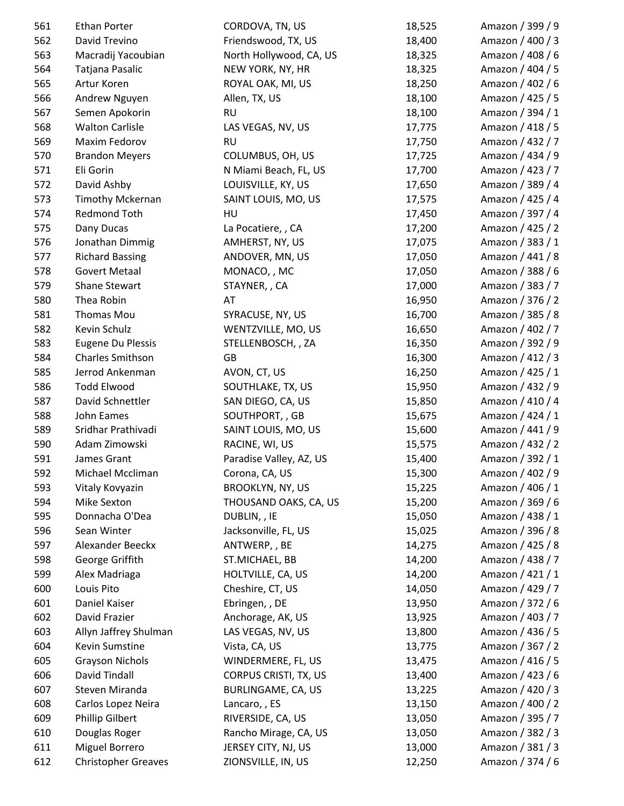| 561 | Ethan Porter               | CORDOVA, TN, US         | 18,525 | Amazon / 399 / 9 |
|-----|----------------------------|-------------------------|--------|------------------|
| 562 | David Trevino              | Friendswood, TX, US     | 18,400 | Amazon / 400 / 3 |
| 563 | Macradij Yacoubian         | North Hollywood, CA, US | 18,325 | Amazon / 408 / 6 |
| 564 | Tatjana Pasalic            | NEW YORK, NY, HR        | 18,325 | Amazon / 404 / 5 |
| 565 | Artur Koren                | ROYAL OAK, MI, US       | 18,250 | Amazon / 402 / 6 |
| 566 | Andrew Nguyen              | Allen, TX, US           | 18,100 | Amazon / 425 / 5 |
| 567 | Semen Apokorin             | <b>RU</b>               | 18,100 | Amazon / 394 / 1 |
| 568 | <b>Walton Carlisle</b>     | LAS VEGAS, NV, US       | 17,775 | Amazon / 418 / 5 |
| 569 | Maxim Fedorov              | <b>RU</b>               | 17,750 | Amazon / 432 / 7 |
| 570 | <b>Brandon Meyers</b>      | COLUMBUS, OH, US        | 17,725 | Amazon / 434 / 9 |
| 571 | Eli Gorin                  | N Miami Beach, FL, US   | 17,700 | Amazon / 423 / 7 |
| 572 | David Ashby                | LOUISVILLE, KY, US      | 17,650 | Amazon / 389 / 4 |
| 573 | <b>Timothy Mckernan</b>    | SAINT LOUIS, MO, US     | 17,575 | Amazon / 425 / 4 |
| 574 | Redmond Toth               | HU                      | 17,450 | Amazon / 397 / 4 |
| 575 | Dany Ducas                 | La Pocatiere, , CA      | 17,200 | Amazon / 425 / 2 |
| 576 | Jonathan Dimmig            | AMHERST, NY, US         | 17,075 | Amazon / 383 / 1 |
| 577 | <b>Richard Bassing</b>     | ANDOVER, MN, US         | 17,050 | Amazon / 441 / 8 |
| 578 | <b>Govert Metaal</b>       | MONACO, , MC            | 17,050 | Amazon / 388 / 6 |
| 579 | <b>Shane Stewart</b>       | STAYNER, , CA           | 17,000 | Amazon / 383 / 7 |
| 580 | Thea Robin                 | AT                      | 16,950 | Amazon / 376 / 2 |
| 581 | Thomas Mou                 | SYRACUSE, NY, US        | 16,700 | Amazon / 385 / 8 |
| 582 | Kevin Schulz               | WENTZVILLE, MO, US      | 16,650 | Amazon / 402 / 7 |
| 583 | <b>Eugene Du Plessis</b>   | STELLENBOSCH, , ZA      | 16,350 | Amazon / 392 / 9 |
| 584 | <b>Charles Smithson</b>    | GB                      | 16,300 | Amazon / 412 / 3 |
| 585 | Jerrod Ankenman            | AVON, CT, US            | 16,250 | Amazon / 425 / 1 |
| 586 | <b>Todd Elwood</b>         | SOUTHLAKE, TX, US       | 15,950 | Amazon / 432 / 9 |
| 587 | David Schnettler           | SAN DIEGO, CA, US       | 15,850 | Amazon / 410 / 4 |
| 588 | John Eames                 | SOUTHPORT, , GB         | 15,675 | Amazon / 424 / 1 |
| 589 | Sridhar Prathivadi         | SAINT LOUIS, MO, US     | 15,600 | Amazon / 441 / 9 |
| 590 | Adam Zimowski              | RACINE, WI, US          | 15,575 | Amazon / 432 / 2 |
| 591 | James Grant                | Paradise Valley, AZ, US | 15,400 | Amazon / 392 / 1 |
| 592 | Michael Mccliman           | Corona, CA, US          | 15,300 | Amazon / 402 / 9 |
| 593 | Vitaly Kovyazin            | <b>BROOKLYN, NY, US</b> | 15,225 | Amazon / 406 / 1 |
| 594 | Mike Sexton                | THOUSAND OAKS, CA, US   | 15,200 | Amazon / 369 / 6 |
| 595 | Donnacha O'Dea             | DUBLIN, , IE            | 15,050 | Amazon / 438 / 1 |
| 596 | Sean Winter                | Jacksonville, FL, US    | 15,025 | Amazon / 396 / 8 |
| 597 | Alexander Beeckx           | ANTWERP, , BE           | 14,275 | Amazon / 425 / 8 |
| 598 | George Griffith            | ST.MICHAEL, BB          | 14,200 | Amazon / 438 / 7 |
| 599 | Alex Madriaga              | HOLTVILLE, CA, US       | 14,200 | Amazon / 421 / 1 |
| 600 | Louis Pito                 | Cheshire, CT, US        | 14,050 | Amazon / 429 / 7 |
| 601 | Daniel Kaiser              | Ebringen, , DE          | 13,950 | Amazon / 372 / 6 |
| 602 | David Frazier              | Anchorage, AK, US       | 13,925 | Amazon / 403 / 7 |
| 603 | Allyn Jaffrey Shulman      | LAS VEGAS, NV, US       | 13,800 | Amazon / 436 / 5 |
| 604 | Kevin Sumstine             | Vista, CA, US           | 13,775 | Amazon / 367 / 2 |
| 605 | <b>Grayson Nichols</b>     | WINDERMERE, FL, US      | 13,475 | Amazon / 416 / 5 |
| 606 | David Tindall              | CORPUS CRISTI, TX, US   | 13,400 | Amazon / 423 / 6 |
| 607 | Steven Miranda             | BURLINGAME, CA, US      | 13,225 | Amazon / 420 / 3 |
| 608 | Carlos Lopez Neira         | Lancaro, , ES           | 13,150 | Amazon / 400 / 2 |
| 609 | <b>Phillip Gilbert</b>     | RIVERSIDE, CA, US       | 13,050 | Amazon / 395 / 7 |
| 610 | Douglas Roger              | Rancho Mirage, CA, US   | 13,050 | Amazon / 382 / 3 |
| 611 | Miguel Borrero             | JERSEY CITY, NJ, US     | 13,000 | Amazon / 381 / 3 |
| 612 | <b>Christopher Greaves</b> | ZIONSVILLE, IN, US      | 12,250 | Amazon / 374 / 6 |
|     |                            |                         |        |                  |